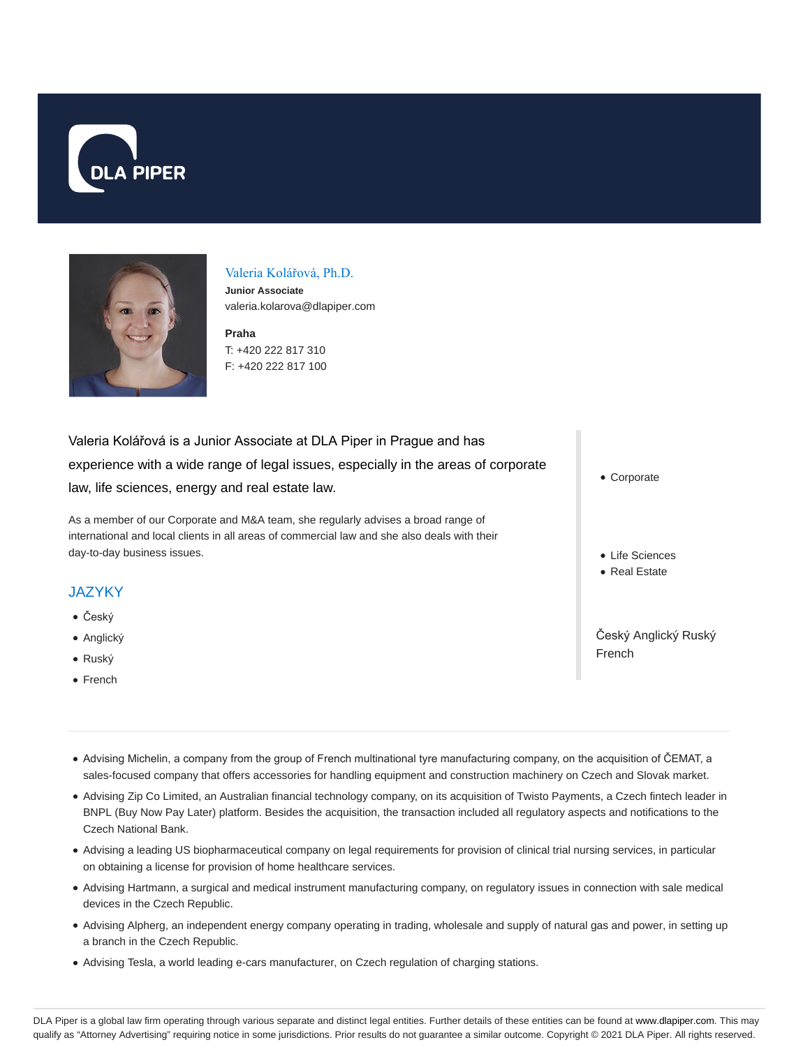



#### Valeria Kolářová, Ph.D.

**Junior Associate** valeria.kolarova@dlapiper.com

**Praha** T: +420 222 817 310 F: +420 222 817 100

# Valeria Kolářová is a Junior Associate at DLA Piper in Prague and has experience with a wide range of legal issues, especially in the areas of corporate law, life sciences, energy and real estate law.

As a member of our Corporate and M&A team, she regularly advises a broad range of international and local clients in all areas of commercial law and she also deals with their day-to-day business issues.

## **JAZYKY**

- Český
- Anglický
- Ruský
- French

Corporate

- Life Sciences
- Real Estate

Český Anglický Ruský French

- Advising Michelin, a company from the group of French multinational tyre manufacturing company, on the acquisition of ČEMAT, a sales-focused company that offers accessories for handling equipment and construction machinery on Czech and Slovak market.
- Advising Zip Co Limited, an Australian financial technology company, on its acquisition of Twisto Payments, a Czech fintech leader in BNPL (Buy Now Pay Later) platform. Besides the acquisition, the transaction included all regulatory aspects and notifications to the Czech National Bank.
- Advising a leading US biopharmaceutical company on legal requirements for provision of clinical trial nursing services, in particular on obtaining a license for provision of home healthcare services.
- Advising Hartmann, a surgical and medical instrument manufacturing company, on regulatory issues in connection with sale medical devices in the Czech Republic.
- Advising Alpherg, an independent energy company operating in trading, wholesale and supply of natural gas and power, in setting up a branch in the Czech Republic.
- Advising Tesla, a world leading e-cars manufacturer, on Czech regulation of charging stations.

DLA Piper is a global law firm operating through various separate and distinct legal entities. Further details of these entities can be found at www.dlapiper.com. This may qualify as "Attorney Advertising" requiring notice in some jurisdictions. Prior results do not guarantee a similar outcome. Copyright @ 2021 DLA Piper. All rights reserved.